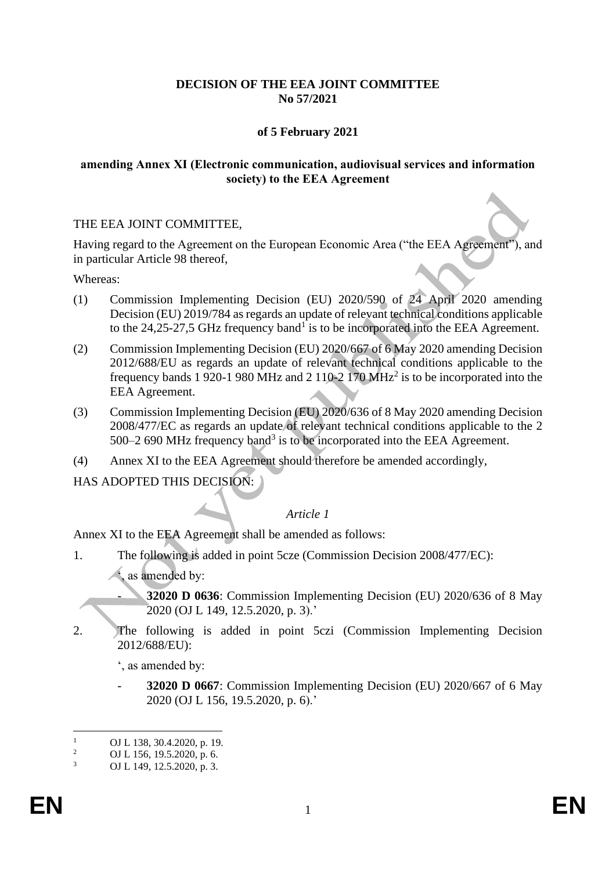## **DECISION OF THE EEA JOINT COMMITTEE No 57/2021**

## **of 5 February 2021**

### **amending Annex XI (Electronic communication, audiovisual services and information society) to the EEA Agreement**

### THE EEA JOINT COMMITTEE,

Having regard to the Agreement on the European Economic Area ("the EEA Agreement"), and in particular Article 98 thereof,

Whereas:

- (1) Commission Implementing Decision (EU) 2020/590 of 24 April 2020 amending Decision (EU) 2019/784 as regards an update of relevant technical conditions applicable to the  $24,25$ -27,5 GHz frequency band<sup>1</sup> is to be incorporated into the EEA Agreement.
- (2) Commission Implementing Decision (EU) 2020/667 of 6 May 2020 amending Decision 2012/688/EU as regards an update of relevant technical conditions applicable to the frequency bands 1 920-1 980 MHz and 2 110-2 170 MHz<sup>2</sup> is to be incorporated into the EEA Agreement.
- (3) Commission Implementing Decision (EU) 2020/636 of 8 May 2020 amending Decision 2008/477/EC as regards an update of relevant technical conditions applicable to the 2 500–2 690 MHz frequency band<sup>3</sup> is to be incorporated into the EEA Agreement.
- (4) Annex XI to the EEA Agreement should therefore be amended accordingly,

# HAS ADOPTED THIS DECISION:

### *Article 1*

Annex XI to the EEA Agreement shall be amended as follows:

1. The following is added in point 5cze (Commission Decision 2008/477/EC):

', as amended by:

- **32020 D 0636**: Commission Implementing Decision (EU) 2020/636 of 8 May 2020 (OJ L 149, 12.5.2020, p. 3).'

2. The following is added in point 5czi (Commission Implementing Decision 2012/688/EU):

', as amended by:

- **32020 D 0667**: Commission Implementing Decision (EU) 2020/667 of 6 May 2020 (OJ L 156, 19.5.2020, p. 6).'

<sup>&</sup>lt;sup>1</sup> OJ L 138, 30.4.2020, p. 19.<br><sup>2</sup> OJ L 156, 19.5.2020, p. 6.

<sup>&</sup>lt;sup>2</sup> OJ L 156, 19.5.2020, p. 6.<br>3 OJ L 140, 12.5.2020, p. 3

<sup>3</sup> OJ L 149, 12.5.2020, p. 3.